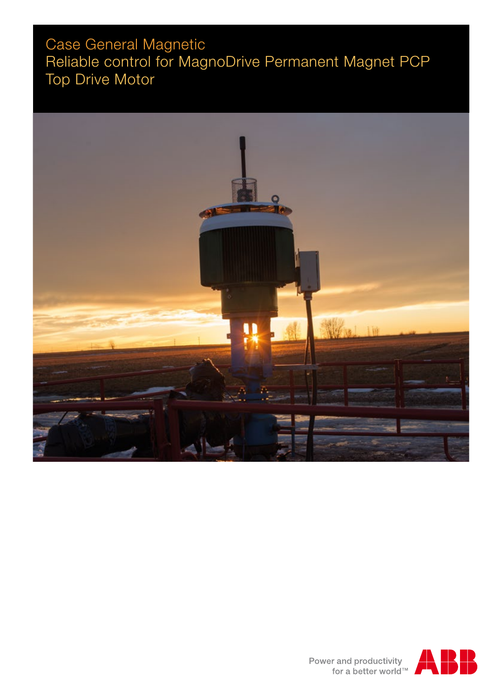# Case General Magnetic Reliable control for MagnoDrive Permanent Magnet PCP Top Drive Motor



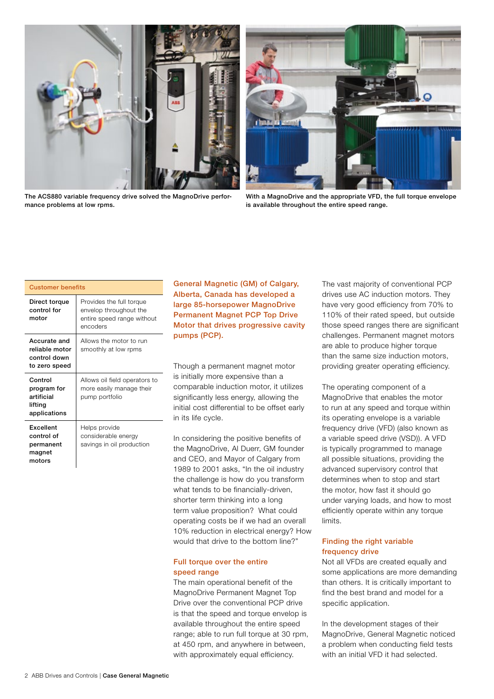



The ACS880 variable frequency drive solved the MagnoDrive performance problems at low rpms.

With a MagnoDrive and the appropriate VFD, the full torque envelope is available throughout the entire speed range.

| <b>Customer benefits</b>                                        |                                                                                              |
|-----------------------------------------------------------------|----------------------------------------------------------------------------------------------|
| Direct torque<br>control for<br>motor                           | Provides the full torque<br>envelop throughout the<br>entire speed range without<br>encoders |
| Accurate and<br>reliable motor<br>control down<br>to zero speed | Allows the motor to run<br>smoothly at low rpms                                              |
| Control<br>program for<br>artificial<br>lifting<br>applications | Allows oil field operators to<br>more easily manage their<br>pump portfolio                  |
| <b>Excellent</b><br>control of<br>permanent<br>magnet<br>motors | Helps provide<br>considerable energy<br>savings in oil production                            |

General Magnetic (GM) of Calgary, Alberta, Canada has developed a large 85-horsepower MagnoDrive Permanent Magnet PCP Top Drive Motor that drives progressive cavity pumps (PCP).

Though a permanent magnet motor is initially more expensive than a comparable induction motor, it utilizes significantly less energy, allowing the initial cost differential to be offset early in its life cycle.

In considering the positive benefits of the MagnoDrive, Al Duerr, GM founder and CEO, and Mayor of Calgary from 1989 to 2001 asks, "In the oil industry the challenge is how do you transform what tends to be financially-driven, shorter term thinking into a long term value proposition? What could operating costs be if we had an overall 10% reduction in electrical energy? How would that drive to the bottom line?"

## Full torque over the entire speed range

The main operational benefit of the MagnoDrive Permanent Magnet Top Drive over the conventional PCP drive is that the speed and torque envelop is available throughout the entire speed range; able to run full torque at 30 rpm, at 450 rpm, and anywhere in between, with approximately equal efficiency.

The vast majority of conventional PCP drives use AC induction motors. They have very good efficiency from 70% to 110% of their rated speed, but outside those speed ranges there are significant challenges. Permanent magnet motors are able to produce higher torque than the same size induction motors, providing greater operating efficiency.

The operating component of a MagnoDrive that enables the motor to run at any speed and torque within its operating envelope is a variable frequency drive (VFD) (also known as a variable speed drive (VSD)). A VFD is typically programmed to manage all possible situations, providing the advanced supervisory control that determines when to stop and start the motor, how fast it should go under varying loads, and how to most efficiently operate within any torque limits.

# Finding the right variable frequency drive

Not all VFDs are created equally and some applications are more demanding than others. It is critically important to find the best brand and model for a specific application.

In the development stages of their MagnoDrive, General Magnetic noticed a problem when conducting field tests with an initial VFD it had selected.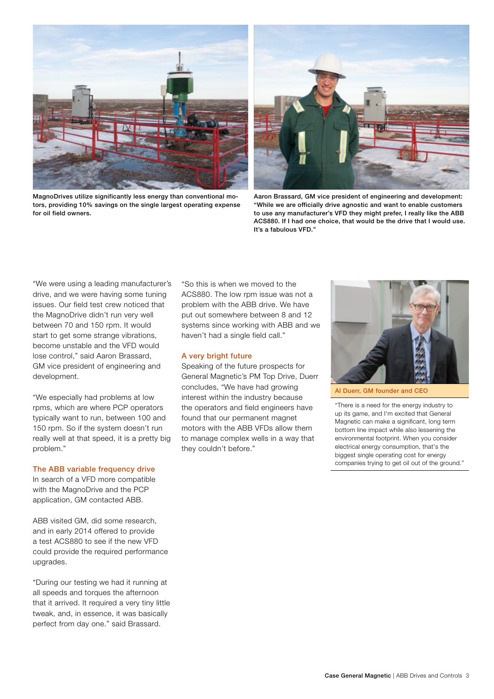

MagnoDrives utilize significantly less energy than conventional motors, providing 10% savings on the single largest operating expense for oil field owners.



Aaron Brassard, GM vice president of engineering and development: "While we are officially drive agnostic and want to enable customers to use any manufacturer's VFD they might prefer, I really like the ABB ACS880. If I had one choice, that would be the drive that I would use. It's a fabulous VFD."

"We were using a leading manufacturer's drive, and we were having some tuning issues. Our field test crew noticed that the MagnoDrive didn't run very well between 70 and 150 rpm. It would start to get some strange vibrations, become unstable and the VFD would lose control," said Aaron Brassard, GM vice president of engineering and development.

"We especially had problems at low rpms, which are where PCP operators typically want to run, between 100 and 150 rpm. So if the system doesn't run really well at that speed, it is a pretty big problem."

#### The ABB variable frequency drive

In search of a VFD more compatible with the MagnoDrive and the PCP application, GM contacted ABB.

ABB visited GM, did some research, and in early 2014 offered to provide a test ACS880 to see if the new VFD could provide the required performance upgrades.

"During our testing we had it running at all speeds and torques the afternoon that it arrived. It required a very tiny little tweak, and, in essence, it was basically perfect from day one." said Brassard.

"So this is when we moved to the ACS880. The low rpm issue was not a problem with the ABB drive. We have put out somewhere between 8 and 12 systems since working with ABB and we haven't had a single field call."

### A very bright future

Speaking of the future prospects for General Magnetic's PM Top Drive, Duerr concludes, "We have had growing interest within the industry because the operators and field engineers have found that our permanent magnet motors with the ABB VFDs allow them to manage complex wells in a way that they couldn't before."



Al Duerr, GM founder and CEO

"There is a need for the energy industry to up its game, and I'm excited that General Magnetic can make a significant, long term bottom line impact while also lessening the environmental footprint. When you consider electrical energy consumption, that's the biggest single operating cost for energy companies trying to get oil out of the ground."